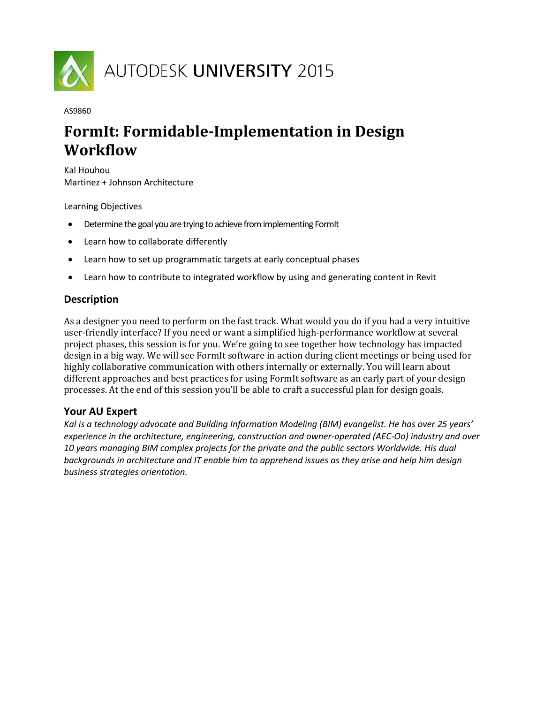

#### AS9860

# **FormIt: Formidable-Implementation in Design Workflow**

Kal Houhou Martinez + Johnson Architecture

Learning Objectives

- Determine the goal you are trying to achieve from implementing FormIt
- Learn how to collaborate differently
- Learn how to set up programmatic targets at early conceptual phases
- Learn how to contribute to integrated workflow by using and generating content in Revit

# **Description**

As a designer you need to perform on the fast track. What would you do if you had a very intuitive user-friendly interface? If you need or want a simplified high-performance workflow at several project phases, this session is for you. We're going to see together how technology has impacted design in a big way. We will see FormIt software in action during client meetings or being used for highly collaborative communication with others internally or externally. You will learn about different approaches and best practices for using FormIt software as an early part of your design processes. At the end of this session you'll be able to craft a successful plan for design goals.

# **Your AU Expert**

*Kal is a technology advocate and Building Information Modeling (BIM) evangelist. He has over 25 years' experience in the architecture, engineering, construction and owner-operated (AEC-Oo) industry and over 10 years managing BIM complex projects for the private and the public sectors Worldwide. His dual backgrounds in architecture and IT enable him to apprehend issues as they arise and help him design business strategies orientation.*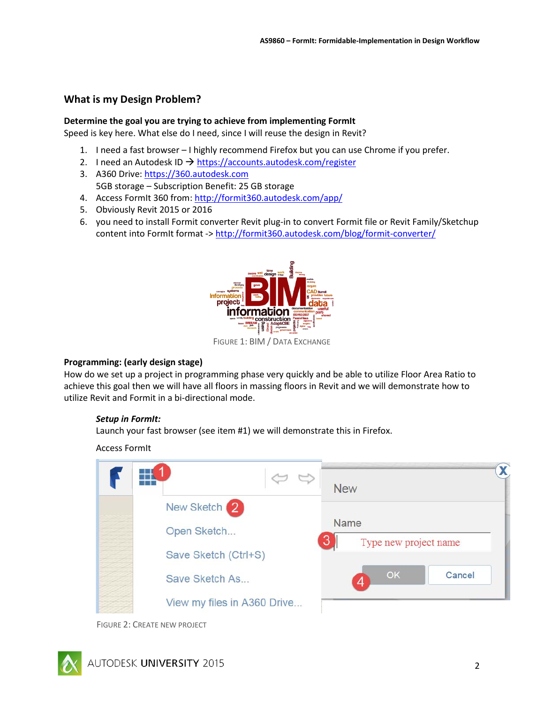# **What is my Design Problem?**

#### **Determine the goal you are trying to achieve from implementing FormIt**

Speed is key here. What else do I need, since I will reuse the design in Revit?

- 1. I need a fast browser I highly recommend Firefox but you can use Chrome if you prefer.
- 2. I need an Autodesk ID  $\rightarrow$  <https://accounts.autodesk.com/register>
- 3. A360 Drive[: https://360.autodesk.com](https://360.autodesk.com/) 5GB storage – Subscription Benefit: 25 GB storage
- 4. Access FormIt 360 from:<http://formit360.autodesk.com/app/>
- 5. Obviously Revit 2015 or 2016
- 6. you need to install Formit converter Revit plug-in to convert Formit file or Revit Family/Sketchup content into FormIt format -[> http://formit360.autodesk.com/blog/formit-converter/](http://formit360.autodesk.com/blog/formit-converter/)



FIGURE 1: BIM / DATA EXCHANGE

# **Programming: (early design stage)**

How do we set up a project in programming phase very quickly and be able to utilize Floor Area Ratio to achieve this goal then we will have all floors in massing floors in Revit and we will demonstrate how to utilize Revit and Formit in a bi-directional mode.

# *Setup in FormIt:*

Launch your fast browser (see item #1) we will demonstrate this in Firefox.

#### Access FormIt



FIGURE 2: CREATE NEW PROJECT

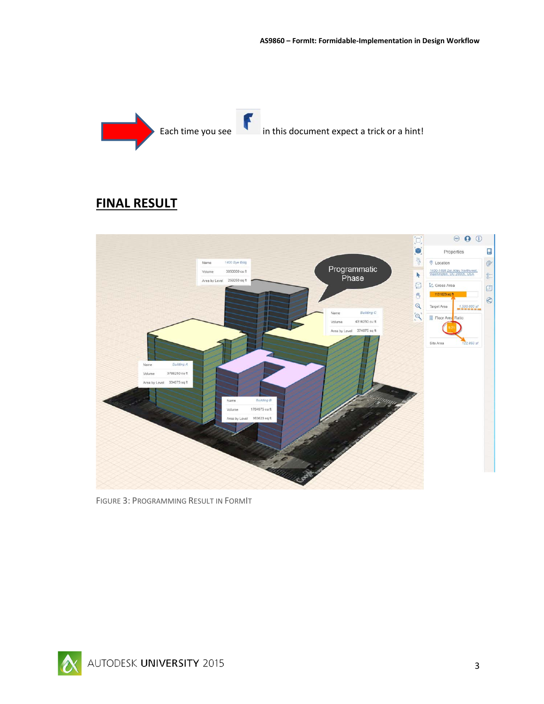

# **FINAL RESULT**



FIGURE 3: PROGRAMMING RESULT IN FORMIT

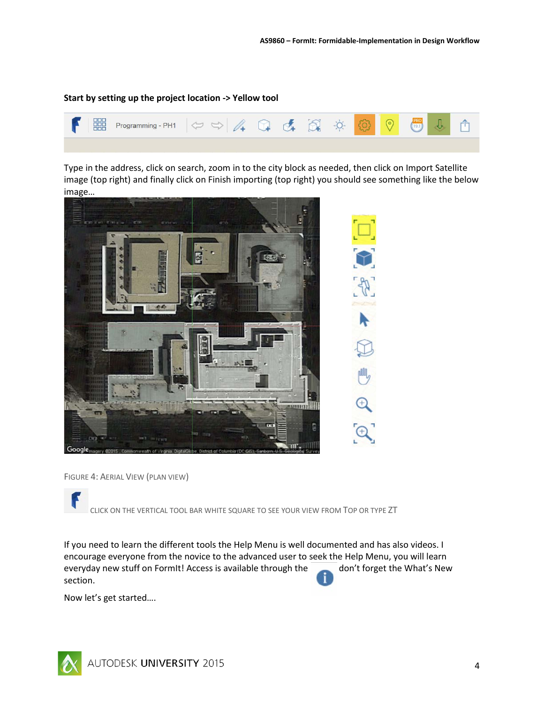#### **Start by setting up the project location -> Yellow tool**



Type in the address, click on search, zoom in to the city block as needed, then click on Import Satellite image (top right) and finally click on Finish importing (top right) you should see something like the below image…



FIGURE 4: AERIAL VIEW (PLAN VIEW)

CLICK ON THE VERTICAL TOOL BAR WHITE SQUARE TO SEE YOUR VIEW FROM TOP OR TYPE ZT

If you need to learn the different tools the Help Menu is well documented and has also videos. I encourage everyone from the novice to the advanced user to seek the Help Menu, you will learn everyday new stuff on FormIt! Access is available through the don't forget the What's New section.

Now let's get started….

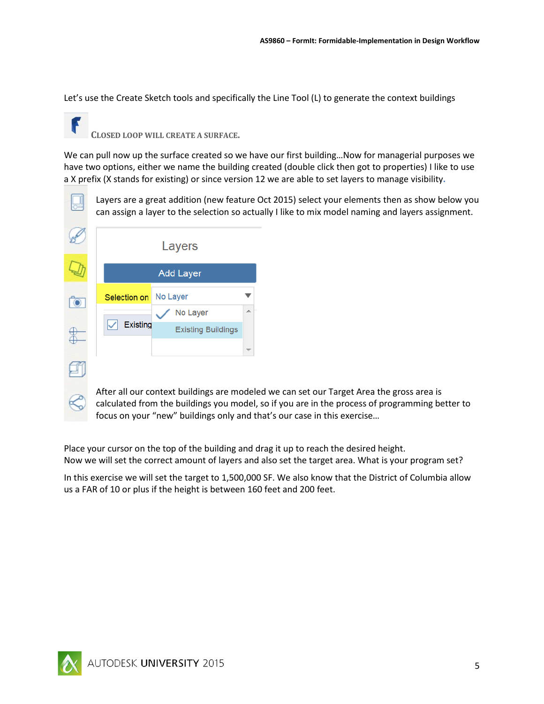Let's use the Create Sketch tools and specifically the Line Tool (L) to generate the context buildings

**CLOSED LOOP WILL CREATE A SURFACE.**

We can pull now up the surface created so we have our first building... Now for managerial purposes we have two options, either we name the building created (double click then got to properties) I like to use a X prefix (X stands for existing) or since version 12 we are able to set layers to manage visibility**.**

Layers are a great addition (new feature Oct 2015) select your elements then as show below you can assign a layer to the selection so actually I like to mix model naming and layers assignment.

|  | Layers<br><b>Add Layer</b> |          |                           |   |  |
|--|----------------------------|----------|---------------------------|---|--|
|  |                            |          |                           |   |  |
|  | Selection on               | No Layer |                           |   |  |
|  |                            |          | No Layer                  | ▲ |  |
|  | <b>Existing</b>            |          | <b>Existing Buildings</b> |   |  |
|  |                            |          |                           |   |  |
|  |                            |          |                           |   |  |

After all our context buildings are modeled we can set our Target Area the gross area is calculated from the buildings you model, so if you are in the process of programming better to focus on your "new" buildings only and that's our case in this exercise…

Place your cursor on the top of the building and drag it up to reach the desired height. Now we will set the correct amount of layers and also set the target area. What is your program set?

In this exercise we will set the target to 1,500,000 SF. We also know that the District of Columbia allow us a FAR of 10 or plus if the height is between 160 feet and 200 feet.

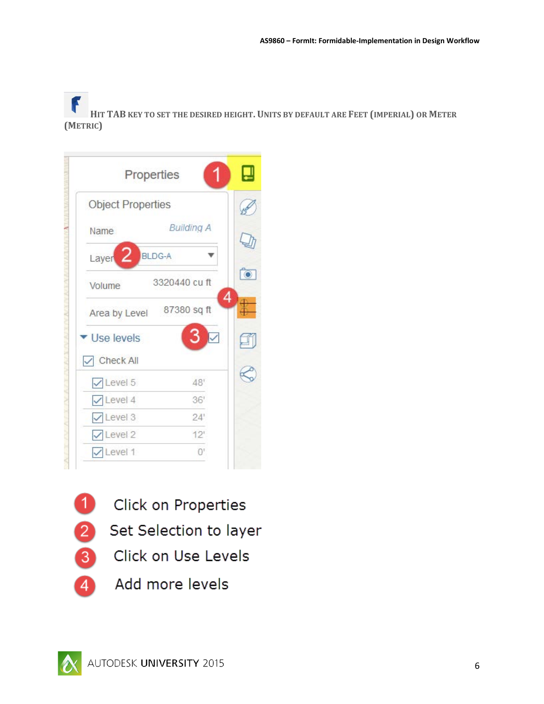F **HIT TAB KEY TO SET THE DESIRED HEIGHT. UNITS BY DEFAULT ARE FEET (IMPERIAL) OR METER (METRIC)**

| Properties                 |                   | ᆜ |
|----------------------------|-------------------|---|
| <b>Object Properties</b>   |                   |   |
| Name                       | <b>Building A</b> |   |
| Layer $2$<br><b>BLDG-A</b> |                   |   |
| Volume                     | 3320440 cu ft     | ि |
| Area by Level              | 87380 sq ft       | 4 |
| ▼ Use levels               | 3                 |   |
| Check All                  |                   |   |
| $\sqrt{\text{Level } 5}$   | 48'               |   |
| $\sqrt{\text{Level 4}}$    | 36'               |   |
| $\sqrt{\text{Level }3}$    | 24'               |   |
| $\vee$ Level 2             | 12'               |   |
| $\vee$ Level 1             | $\Omega$          |   |

Click on Properties

- 2 Set Selection to layer
- 3 Click on Use Levels
- Add more levels 4